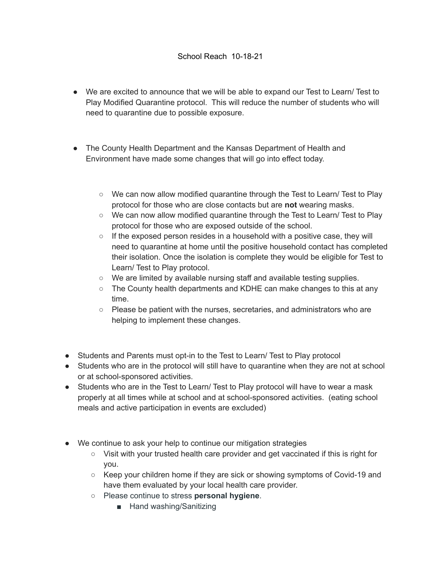## School Reach 10-18-21

- We are excited to announce that we will be able to expand our Test to Learn/ Test to Play Modified Quarantine protocol. This will reduce the number of students who will need to quarantine due to possible exposure.
- The County Health Department and the Kansas Department of Health and Environment have made some changes that will go into effect today.
	- We can now allow modified quarantine through the Test to Learn/ Test to Play protocol for those who are close contacts but are **not** wearing masks.
	- We can now allow modified quarantine through the Test to Learn/ Test to Play protocol for those who are exposed outside of the school.
	- $\circ$  If the exposed person resides in a household with a positive case, they will need to quarantine at home until the positive household contact has completed their isolation. Once the isolation is complete they would be eligible for Test to Learn/ Test to Play protocol.
	- We are limited by available nursing staff and available testing supplies.
	- The County health departments and KDHE can make changes to this at any time.
	- Please be patient with the nurses, secretaries, and administrators who are helping to implement these changes.
- Students and Parents must opt-in to the Test to Learn/ Test to Play protocol
- Students who are in the protocol will still have to quarantine when they are not at school or at school-sponsored activities.
- Students who are in the Test to Learn/ Test to Play protocol will have to wear a mask properly at all times while at school and at school-sponsored activities. (eating school meals and active participation in events are excluded)
- We continue to ask your help to continue our mitigation strategies
	- Visit with your trusted health care provider and get vaccinated if this is right for you.
	- Keep your children home if they are sick or showing symptoms of Covid-19 and have them evaluated by your local health care provider.
	- Please continue to stress **personal hygiene**.
		- Hand washing/Sanitizing